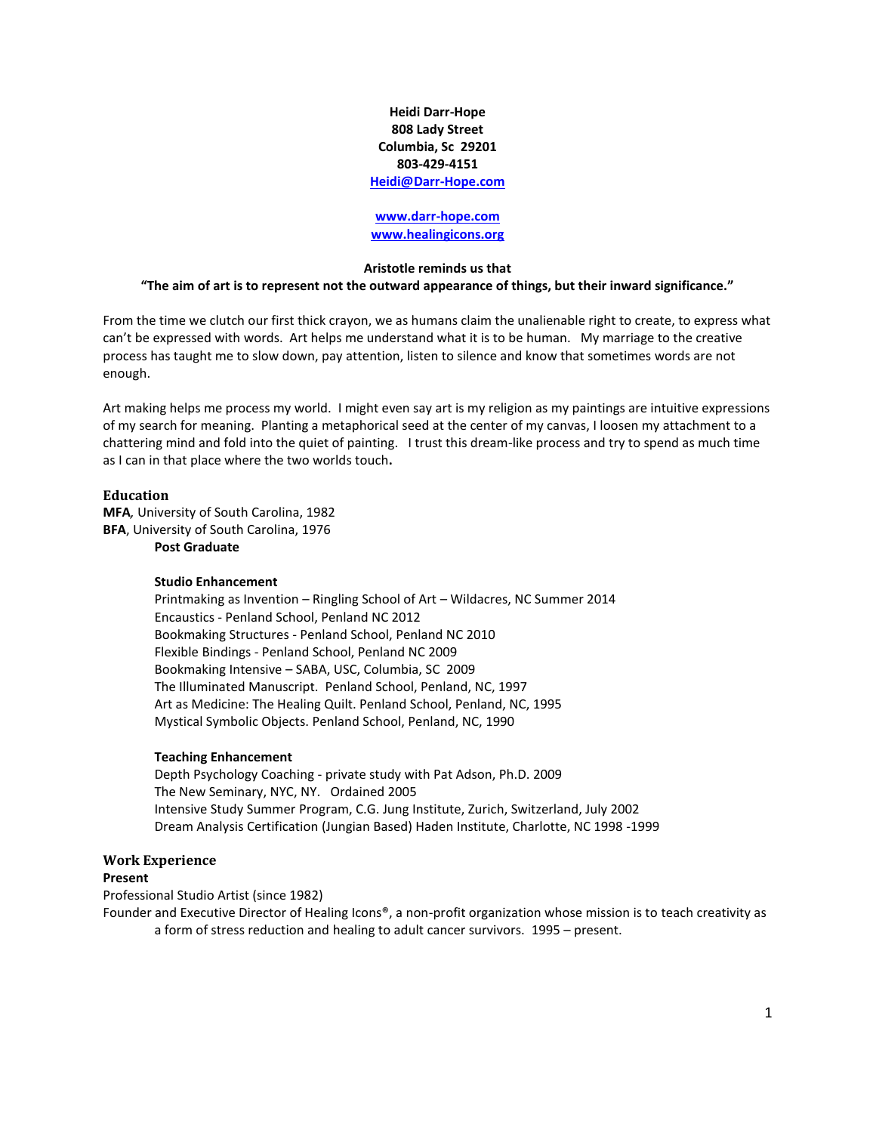**Heidi Darr-Hope 808 Lady Street Columbia, Sc 29201 803-429-4151 [Heidi@Darr-Hope.com](mailto:Heidi@Darr-Hope.com)**

#### **[www.darr-hope.com](http://www.darr-hope.com/) [www.healingicons.org](http://www.healingicons.org/)**

#### **Aristotle reminds us that**

#### **"The aim of art is to represent not the outward appearance of things, but their inward significance."**

From the time we clutch our first thick crayon, we as humans claim the unalienable right to create, to express what can't be expressed with words. Art helps me understand what it is to be human. My marriage to the creative process has taught me to slow down, pay attention, listen to silence and know that sometimes words are not enough.

Art making helps me process my world. I might even say art is my religion as my paintings are intuitive expressions of my search for meaning. Planting a metaphorical seed at the center of my canvas, I loosen my attachment to a chattering mind and fold into the quiet of painting. I trust this dream-like process and try to spend as much time as I can in that place where the two worlds touch**.**

#### **Education**

**MFA***,* University of South Carolina, 1982 **BFA**, University of South Carolina, 1976 **Post Graduate**

# **Studio Enhancement**

Printmaking as Invention – Ringling School of Art – Wildacres, NC Summer 2014 Encaustics - Penland School, Penland NC 2012 Bookmaking Structures - Penland School, Penland NC 2010 Flexible Bindings - Penland School, Penland NC 2009 Bookmaking Intensive – SABA, USC, Columbia, SC 2009 The Illuminated Manuscript. Penland School, Penland, NC, 1997 Art as Medicine: The Healing Quilt. Penland School, Penland, NC, 1995 Mystical Symbolic Objects. Penland School, Penland, NC, 1990

#### **Teaching Enhancement**

Depth Psychology Coaching - private study with Pat Adson, Ph.D. 2009 The New Seminary, NYC, NY. Ordained 2005 Intensive Study Summer Program, C.G. Jung Institute, Zurich, Switzerland, July 2002 Dream Analysis Certification (Jungian Based) Haden Institute, Charlotte, NC 1998 -1999

#### **Work Experience Present**

Professional Studio Artist (since 1982)

Founder and Executive Director of Healing Icons®, a non-profit organization whose mission is to teach creativity as a form of stress reduction and healing to adult cancer survivors. 1995 – present.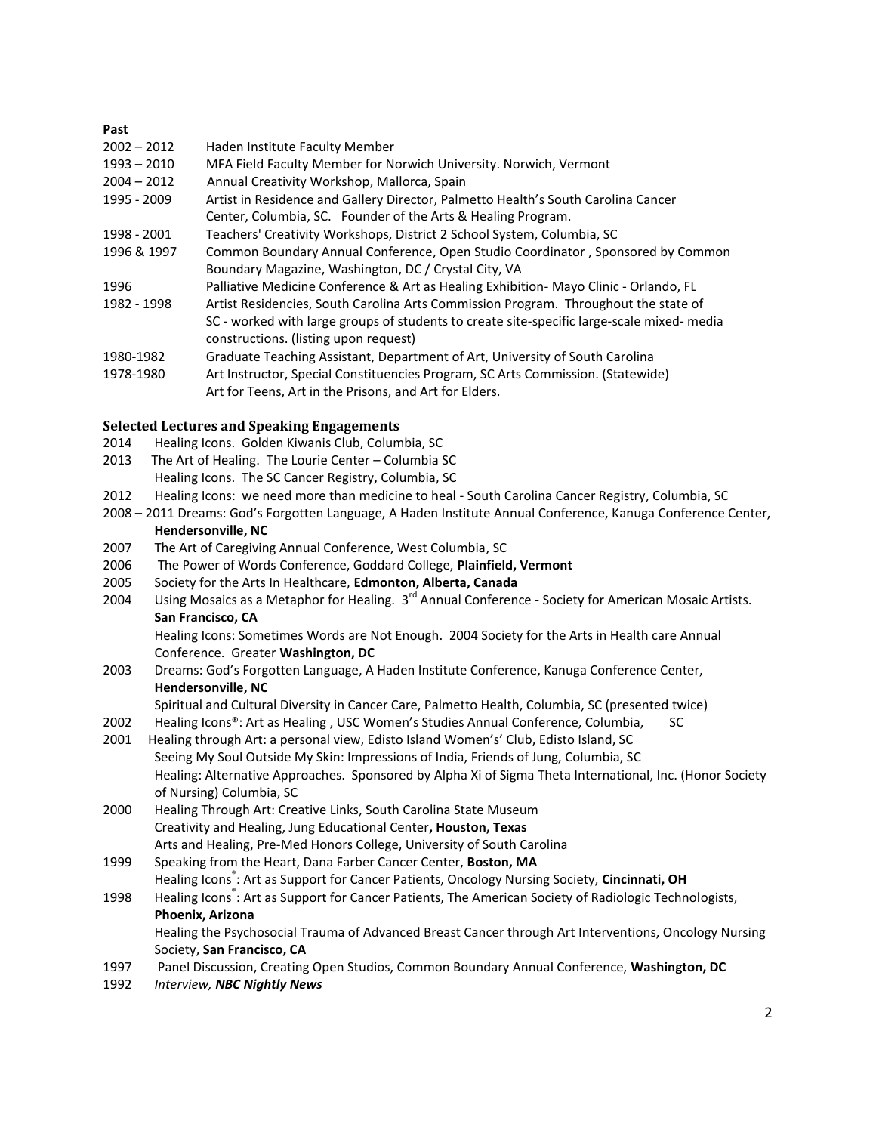# **Past** 2002 – 2012 Haden Institute Faculty Member 1993 – 2010 MFA Field Faculty Member for Norwich University. Norwich, Vermont 2004 – 2012 Annual Creativity Workshop, Mallorca, Spain 1995 - 2009 Artist in Residence and Gallery Director, Palmetto Health's South Carolina Cancer Center, Columbia, SC. Founder of the Arts & Healing Program. 1998 - 2001 Teachers' Creativity Workshops, District 2 School System, Columbia, SC 1996 & 1997 Common Boundary Annual Conference, Open Studio Coordinator , Sponsored by Common Boundary Magazine, Washington, DC / Crystal City, VA 1996 Palliative Medicine Conference & Art as Healing Exhibition- Mayo Clinic - Orlando, FL 1982 - 1998 Artist Residencies, South Carolina Arts Commission Program. Throughout the state of SC - worked with large groups of students to create site-specific large-scale mixed- media constructions. (listing upon request) 1980-1982 Graduate Teaching Assistant, Department of Art, University of South Carolina 1978-1980 Art Instructor, Special Constituencies Program, SC Arts Commission. (Statewide) Art for Teens, Art in the Prisons, and Art for Elders.

# **Selected Lectures and Speaking Engagements**

- 2014 Healing Icons. Golden Kiwanis Club, Columbia, SC
- 2013 The Art of Healing. The Lourie Center Columbia SC
- Healing Icons. The SC Cancer Registry, Columbia, SC
- 2012 Healing Icons: we need more than medicine to heal South Carolina Cancer Registry, Columbia, SC
- 2008 2011 Dreams: God's Forgotten Language, A Haden Institute Annual Conference, Kanuga Conference Center,

# **Hendersonville, NC**

- 2007 The Art of Caregiving Annual Conference, West Columbia, SC
- 2006 The Power of Words Conference, Goddard College, **Plainfield, Vermont**
- 2005 Society for the Arts In Healthcare, **Edmonton, Alberta, Canada**
- 2004 Using Mosaics as a Metaphor for Healing.  $3<sup>rd</sup>$  Annual Conference Society for American Mosaic Artists. **San Francisco, CA**

Healing Icons: Sometimes Words are Not Enough. 2004 Society for the Arts in Health care Annual Conference. Greater **Washington, DC**

- 2003 Dreams: God's Forgotten Language, A Haden Institute Conference, Kanuga Conference Center, **Hendersonville, NC**
	- Spiritual and Cultural Diversity in Cancer Care, Palmetto Health, Columbia, SC (presented twice)
- 2002 Healing Icons®: Art as Healing, USC Women's Studies Annual Conference, Columbia, SC
- 2001 Healing through Art: a personal view, Edisto Island Women's' Club, Edisto Island, SC Seeing My Soul Outside My Skin: Impressions of India, Friends of Jung, Columbia, SC Healing: Alternative Approaches. Sponsored by Alpha Xi of Sigma Theta International, Inc. (Honor Society of Nursing) Columbia, SC
- 2000 Healing Through Art: Creative Links, South Carolina State Museum Creativity and Healing, Jung Educational Center**, Houston, Texas** Arts and Healing, Pre-Med Honors College, University of South Carolina
- 1999 Speaking from the Heart, Dana Farber Cancer Center, **Boston, MA** Healing Icons® : Art as Support for Cancer Patients, Oncology Nursing Society, **Cincinnati, OH**

# 1998 Healing Icons®: Art as Support for Cancer Patients, The American Society of Radiologic Technologists, **Phoenix, Arizona**

Healing the Psychosocial Trauma of Advanced Breast Cancer through Art Interventions, Oncology Nursing Society, **San Francisco, CA**

- 1997 Panel Discussion, Creating Open Studios, Common Boundary Annual Conference, **Washington, DC**
- 1992 *Interview, NBC Nightly News*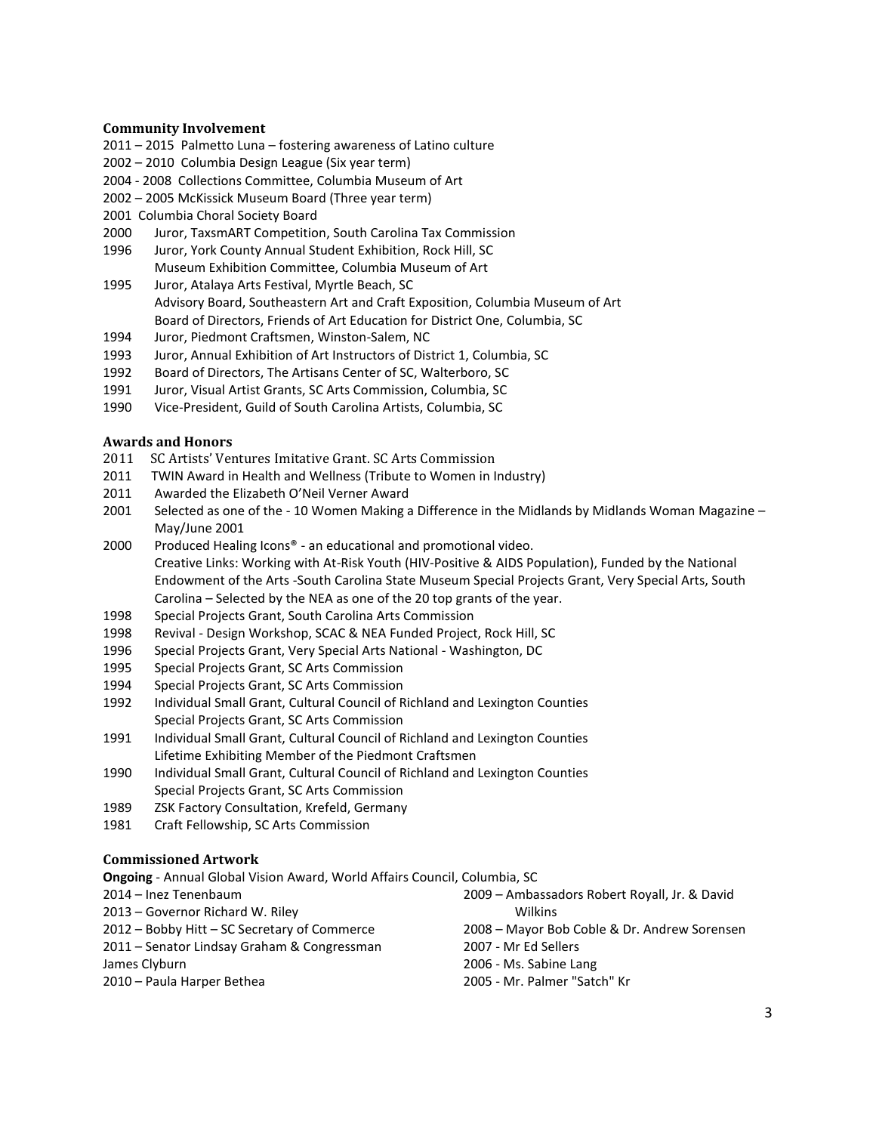#### **Community Involvement**

- 2011 2015 Palmetto Luna fostering awareness of Latino culture
- 2002 2010 Columbia Design League (Six year term)
- 2004 2008 Collections Committee, Columbia Museum of Art
- 2002 2005 McKissick Museum Board (Three year term)
- 2001 Columbia Choral Society Board
- 2000 Juror, TaxsmART Competition, South Carolina Tax Commission
- 1996 Juror, York County Annual Student Exhibition, Rock Hill, SC Museum Exhibition Committee, Columbia Museum of Art
- 1995 Juror, Atalaya Arts Festival, Myrtle Beach, SC Advisory Board, Southeastern Art and Craft Exposition, Columbia Museum of Art Board of Directors, Friends of Art Education for District One, Columbia, SC
- 1994 Juror, Piedmont Craftsmen, Winston-Salem, NC
- 1993 Juror, Annual Exhibition of Art Instructors of District 1, Columbia, SC
- 1992 Board of Directors, The Artisans Center of SC, Walterboro, SC
- 1991 Juror, Visual Artist Grants, SC Arts Commission, Columbia, SC
- 1990 Vice-President, Guild of South Carolina Artists, Columbia, SC

#### **Awards and Honors**

- 2011 SC Artists' Ventures Imitative Grant. SC Arts Commission
- 2011 TWIN Award in Health and Wellness (Tribute to Women in Industry)
- 2011 Awarded the Elizabeth O'Neil Verner Award
- 2001 Selected as one of the 10 Women Making a Difference in the Midlands by Midlands Woman Magazine May/June 2001
- 2000 Produced Healing Icons® an educational and promotional video. Creative Links: Working with At-Risk Youth (HIV-Positive & AIDS Population), Funded by the National Endowment of the Arts -South Carolina State Museum Special Projects Grant, Very Special Arts, South Carolina – Selected by the NEA as one of the 20 top grants of the year.
- 1998 Special Projects Grant, South Carolina Arts Commission
- 1998 Revival Design Workshop, SCAC & NEA Funded Project, Rock Hill, SC
- 1996 Special Projects Grant, Very Special Arts National Washington, DC
- 1995 Special Projects Grant, SC Arts Commission
- 1994 Special Projects Grant, SC Arts Commission
- 1992 Individual Small Grant, Cultural Council of Richland and Lexington Counties Special Projects Grant, SC Arts Commission
- 1991 Individual Small Grant, Cultural Council of Richland and Lexington Counties Lifetime Exhibiting Member of the Piedmont Craftsmen
- 1990 Individual Small Grant, Cultural Council of Richland and Lexington Counties Special Projects Grant, SC Arts Commission
- 1989 ZSK Factory Consultation, Krefeld, Germany
- 1981 Craft Fellowship, SC Arts Commission

# **Commissioned Artwork**

2010 – Paula Harper Bethea

**Ongoing** - Annual Global Vision Award, World Affairs Council, Columbia, SC

2014 – Inez Tenenbaum

- 2013 Governor Richard W. Riley
- 2012 Bobby Hitt SC Secretary of Commerce
- 2011 Senator Lindsay Graham & Congressman

James Clyburn

2008 – Mayor Bob Coble & Dr. Andrew Sorensen 2007 - Mr Ed Sellers

2009 – Ambassadors Robert Royall, Jr. & David

2006 - Ms. Sabine Lang

Wilkins

2005 - Mr. Palmer "Satch" Kr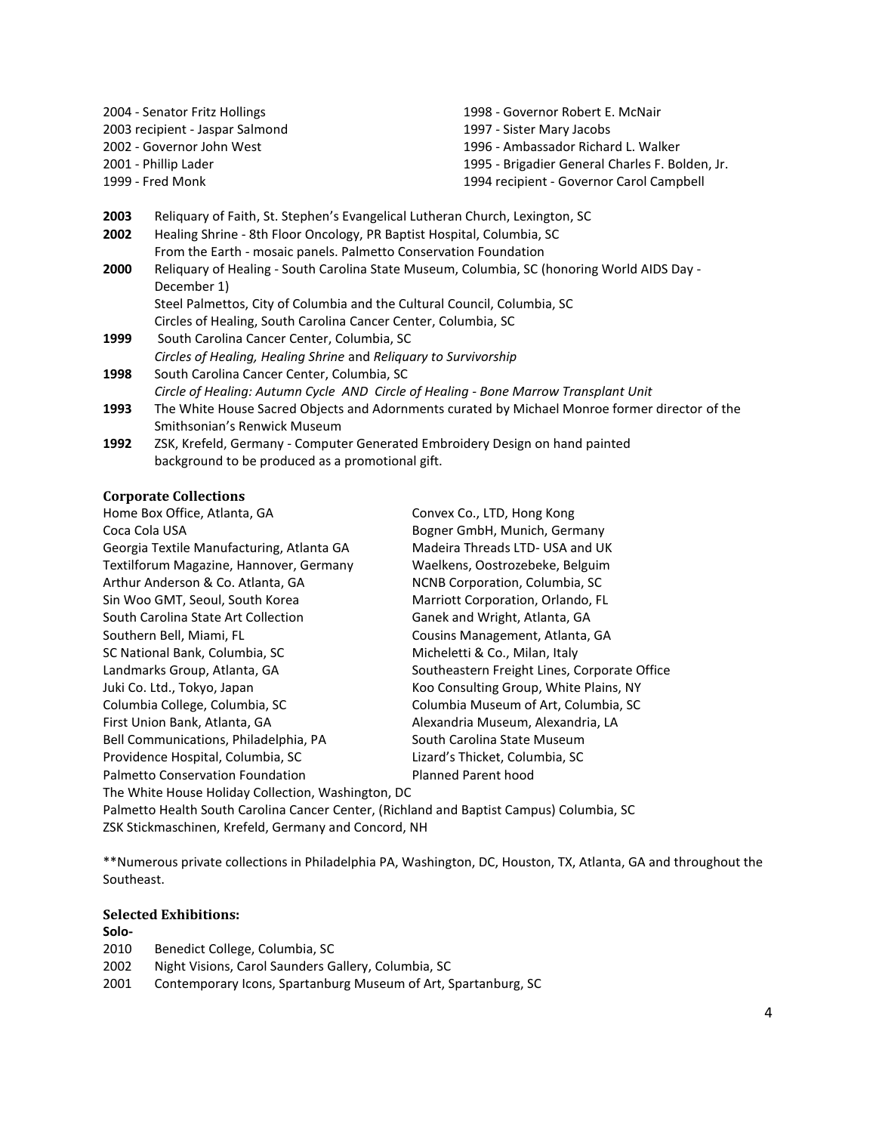| 2004 - Senator Fritz Hollings   |                                                                                             | 1998 - Governor Robert E. McNair                                                               |  |
|---------------------------------|---------------------------------------------------------------------------------------------|------------------------------------------------------------------------------------------------|--|
| 2003 recipient - Jaspar Salmond |                                                                                             | 1997 - Sister Mary Jacobs                                                                      |  |
|                                 | 2002 - Governor John West                                                                   | 1996 - Ambassador Richard L. Walker                                                            |  |
|                                 | 2001 - Phillip Lader                                                                        | 1995 - Brigadier General Charles F. Bolden, Jr.                                                |  |
|                                 | 1999 - Fred Monk                                                                            | 1994 recipient - Governor Carol Campbell                                                       |  |
| 2003                            | Reliquary of Faith, St. Stephen's Evangelical Lutheran Church, Lexington, SC                |                                                                                                |  |
| 2002                            | Healing Shrine - 8th Floor Oncology, PR Baptist Hospital, Columbia, SC                      |                                                                                                |  |
|                                 | From the Earth - mosaic panels. Palmetto Conservation Foundation                            |                                                                                                |  |
| 2000                            | Reliquary of Healing - South Carolina State Museum, Columbia, SC (honoring World AIDS Day - |                                                                                                |  |
|                                 | December 1)                                                                                 |                                                                                                |  |
|                                 | Steel Palmettos, City of Columbia and the Cultural Council, Columbia, SC                    |                                                                                                |  |
|                                 | Circles of Healing, South Carolina Cancer Center, Columbia, SC                              |                                                                                                |  |
| 1999                            | South Carolina Cancer Center, Columbia, SC                                                  |                                                                                                |  |
|                                 | Circles of Healing, Healing Shrine and Reliquary to Survivorship                            |                                                                                                |  |
| 1998                            | South Carolina Cancer Center, Columbia, SC                                                  |                                                                                                |  |
|                                 | Circle of Healing: Autumn Cycle AND Circle of Healing - Bone Marrow Transplant Unit         |                                                                                                |  |
| 1993                            |                                                                                             | The White House Sacred Objects and Adornments curated by Michael Monroe former director of the |  |
|                                 | Smithsonian's Renwick Museum                                                                |                                                                                                |  |
| 1992                            | ZSK, Krefeld, Germany - Computer Generated Embroidery Design on hand painted                |                                                                                                |  |
|                                 | background to be produced as a promotional gift.                                            |                                                                                                |  |

#### **Corporate Collections**

Home Box Office, Atlanta, GA Convex Co., LTD, Hong Kong Coca Cola USA Bogner GmbH, Munich, Germany Georgia Textile Manufacturing, Atlanta GA Madeira Threads LTD- USA and UK Textilforum Magazine, Hannover, Germany Waelkens, Oostrozebeke, Belguim Arthur Anderson & Co. Atlanta, GA NET MONB Corporation, Columbia, SC Sin Woo GMT, Seoul, South Korea Marriott Corporation, Orlando, FL South Carolina State Art Collection Ganek and Wright, Atlanta, GA Southern Bell, Miami, FL Cousins Management, Atlanta, GA SC National Bank, Columbia, SC Micheletti & Co., Milan, Italy Landmarks Group, Atlanta, GA Southeastern Freight Lines, Corporate Office Juki Co. Ltd., Tokyo, Japan Theory Consulting Group, White Plains, NY Columbia College, Columbia, SC Columbia Museum of Art, Columbia, SC First Union Bank, Atlanta, GA Alexandria Museum, Alexandria, LA Bell Communications, Philadelphia, PA South Carolina State Museum Providence Hospital, Columbia, SC Lizard's Thicket, Columbia, SC Palmetto Conservation Foundation **Planned Parent hood** The White House Holiday Collection, Washington, DC

Palmetto Health South Carolina Cancer Center, (Richland and Baptist Campus) Columbia, SC ZSK Stickmaschinen, Krefeld, Germany and Concord, NH

\*\*Numerous private collections in Philadelphia PA, Washington, DC, Houston, TX, Atlanta, GA and throughout the Southeast.

# **Selected Exhibitions:**

#### **Solo-**

- 2010 Benedict College, Columbia, SC
- 2002 Night Visions, Carol Saunders Gallery, Columbia, SC
- 2001 Contemporary Icons, Spartanburg Museum of Art, Spartanburg, SC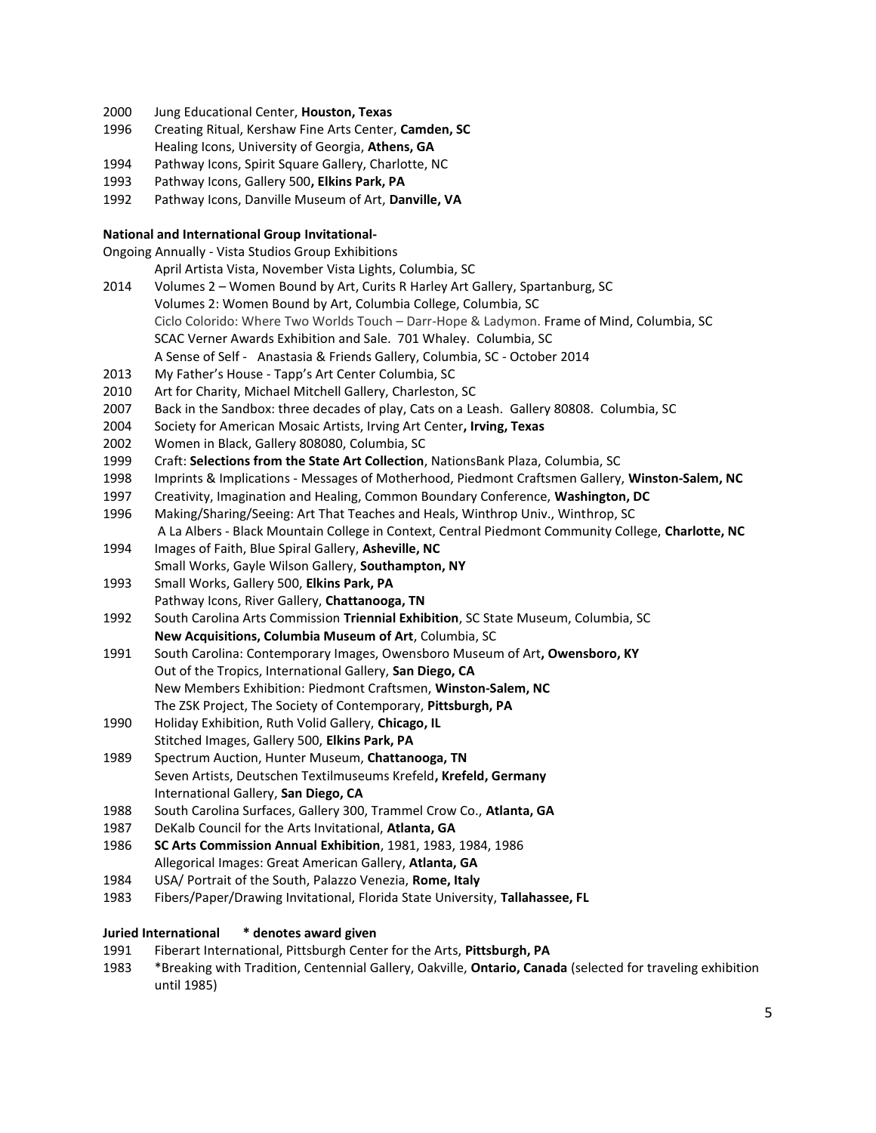- 2000 Jung Educational Center, **Houston, Texas**
- 1996 Creating Ritual, Kershaw Fine Arts Center, **Camden, SC** Healing Icons, University of Georgia, **Athens, GA**
- 1994 Pathway Icons, Spirit Square Gallery, Charlotte, NC
- 1993 Pathway Icons, Gallery 500**, Elkins Park, PA**
- 1992 Pathway Icons, Danville Museum of Art, **Danville, VA**

### **National and International Group Invitational-**

Ongoing Annually - Vista Studios Group Exhibitions

- April Artista Vista, November Vista Lights, Columbia, SC
- 2014 Volumes 2 Women Bound by Art, Curits R Harley Art Gallery, Spartanburg, SC Volumes 2: Women Bound by Art, Columbia College, Columbia, SC Ciclo Colorido: Where Two Worlds Touch – Darr-Hope & Ladymon. Frame of Mind, Columbia, SC SCAC Verner Awards Exhibition and Sale. 701 Whaley. Columbia, SC A Sense of Self - Anastasia & Friends Gallery, Columbia, SC - October 2014
- 2013 My Father's House Tapp's Art Center Columbia, SC
- 2010 Art for Charity, Michael Mitchell Gallery, Charleston, SC
- 2007 Back in the Sandbox: three decades of play, Cats on a Leash. Gallery 80808. Columbia, SC
- 2004 Society for American Mosaic Artists, Irving Art Center**, Irving, Texas**
- 2002 Women in Black, Gallery 808080, Columbia, SC
- 1999 Craft: **Selections from the State Art Collection**, NationsBank Plaza, Columbia, SC
- 1998 Imprints & Implications Messages of Motherhood, Piedmont Craftsmen Gallery, **Winston-Salem, NC**
- 1997 Creativity, Imagination and Healing, Common Boundary Conference, **Washington, DC**
- 1996 Making/Sharing/Seeing: Art That Teaches and Heals, Winthrop Univ., Winthrop, SC
	- A La Albers Black Mountain College in Context, Central Piedmont Community College, **Charlotte, NC**
- 1994 Images of Faith, Blue Spiral Gallery, **Asheville, NC**
- Small Works, Gayle Wilson Gallery, **Southampton, NY**
- 1993 Small Works, Gallery 500, **Elkins Park, PA**
- Pathway Icons, River Gallery, **Chattanooga, TN**
- 1992 South Carolina Arts Commission **Triennial Exhibition**, SC State Museum, Columbia, SC **New Acquisitions, Columbia Museum of Art**, Columbia, SC
- 1991 South Carolina: Contemporary Images, Owensboro Museum of Art**, Owensboro, KY** Out of the Tropics, International Gallery, **San Diego, CA** New Members Exhibition: Piedmont Craftsmen, **Winston-Salem, NC** The ZSK Project, The Society of Contemporary, **Pittsburgh, PA**
- 1990 Holiday Exhibition, Ruth Volid Gallery, **Chicago, IL** Stitched Images, Gallery 500, **Elkins Park, PA**
- 1989 Spectrum Auction, Hunter Museum, **Chattanooga, TN** Seven Artists, Deutschen Textilmuseums Krefeld**, Krefeld, Germany** International Gallery, **San Diego, CA**
- 1988 South Carolina Surfaces, Gallery 300, Trammel Crow Co., **Atlanta, GA**
- 1987 DeKalb Council for the Arts Invitational, **Atlanta, GA**
- 1986 **SC Arts Commission Annual Exhibition**, 1981, 1983, 1984, 1986 Allegorical Images: Great American Gallery, **Atlanta, GA**
- 1984 USA/ Portrait of the South, Palazzo Venezia, **Rome, Italy**
- 1983 Fibers/Paper/Drawing Invitational, Florida State University, **Tallahassee, FL**

# **Juried International \* denotes award given**

- 1991 Fiberart International, Pittsburgh Center for the Arts, **Pittsburgh, PA**
- 1983 \*Breaking with Tradition, Centennial Gallery, Oakville, **Ontario, Canada** (selected for traveling exhibition until 1985)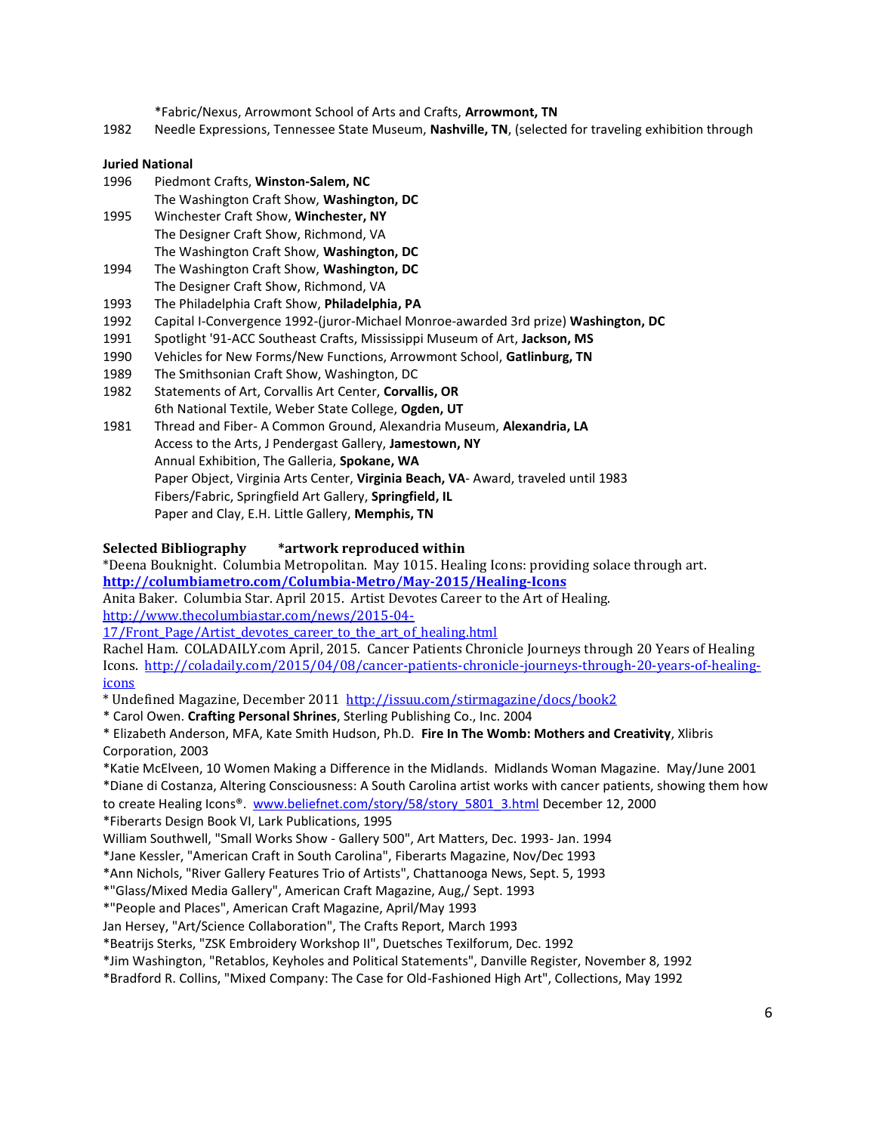\*Fabric/Nexus, Arrowmont School of Arts and Crafts, **Arrowmont, TN**

1982 Needle Expressions, Tennessee State Museum, **Nashville, TN**, (selected for traveling exhibition through

## **Juried National**

| 1996 | Piedmont Crafts, Winston-Salem, NC        |
|------|-------------------------------------------|
|      | The Washington Craft Show, Washington, DC |
| 1995 | Winchester Craft Show, Winchester, NY     |
|      | The Designer Craft Show, Richmond, VA     |
|      | The Washington Craft Show, Washington, DC |
| 1994 | The Washington Craft Show, Washington, DC |
|      | The Designer Craft Show, Richmond, VA     |

- 1993 The Philadelphia Craft Show, **Philadelphia, PA**
- 1992 Capital I-Convergence 1992-(juror-Michael Monroe-awarded 3rd prize) **Washington, DC**
- 1991 Spotlight '91-ACC Southeast Crafts, Mississippi Museum of Art, **Jackson, MS**
- 1990 Vehicles for New Forms/New Functions, Arrowmont School, **Gatlinburg, TN**
- 1989 The Smithsonian Craft Show, Washington, DC
- 1982 Statements of Art, Corvallis Art Center, **Corvallis, OR** 6th National Textile, Weber State College, **Ogden, UT**
- 1981 Thread and Fiber- A Common Ground, Alexandria Museum, **Alexandria, LA** Access to the Arts, J Pendergast Gallery, **Jamestown, NY** Annual Exhibition, The Galleria, **Spokane, WA** Paper Object, Virginia Arts Center, **Virginia Beach, VA**- Award, traveled until 1983 Fibers/Fabric, Springfield Art Gallery, **Springfield, IL** Paper and Clay, E.H. Little Gallery, **Memphis, TN**

#### **Selected Bibliography \*artwork reproduced within**

\*Deena Bouknight. Columbia Metropolitan. May 1015. Healing Icons: providing solace through art. **<http://columbiametro.com/Columbia-Metro/May-2015/Healing-Icons>**

Anita Baker. Columbia Star. April 2015. Artist Devotes Career to the Art of Healing.

[http://www.thecolumbiastar.com/news/2015-04-](http://www.thecolumbiastar.com/news/2015-04-17/Front_Page/Artist_devotes_career_to_the_art_of_healing.html)

17/Front Page/Artist devotes career to the art of healing.html

Rachel Ham. COLADAILY.com April, 2015. Cancer Patients Chronicle Journeys through 20 Years of Healing Icons. [http://coladaily.com/2015/04/08/cancer-patients-chronicle-journeys-through-20-years-of-healing](http://coladaily.com/2015/04/08/cancer-patients-chronicle-journeys-through-20-years-of-healing-icons)[icons](http://coladaily.com/2015/04/08/cancer-patients-chronicle-journeys-through-20-years-of-healing-icons)

\* Undefined Magazine, December 2011 <http://issuu.com/stirmagazine/docs/book2>

\* Carol Owen. **Crafting Personal Shrines**, Sterling Publishing Co., Inc. 2004

\* Elizabeth Anderson, MFA, Kate Smith Hudson, Ph.D. **Fire In The Womb: Mothers and Creativity**, Xlibris Corporation, 2003

\*Katie McElveen, 10 Women Making a Difference in the Midlands. Midlands Woman Magazine. May/June 2001

\*Diane di Costanza, Altering Consciousness: A South Carolina artist works with cancer patients, showing them how to create Healing Icons®. [www.beliefnet.com/story/58/story\\_5801\\_3.html](http://www.beliefnet.com/story/58/story_5801_3.html) December 12, 2000

\*Fiberarts Design Book VI, Lark Publications, 1995

William Southwell, "Small Works Show - Gallery 500", Art Matters, Dec. 1993- Jan. 1994

\*Jane Kessler, "American Craft in South Carolina", Fiberarts Magazine, Nov/Dec 1993

\*Ann Nichols, "River Gallery Features Trio of Artists", Chattanooga News, Sept. 5, 1993

\*"Glass/Mixed Media Gallery", American Craft Magazine, Aug,/ Sept. 1993

\*"People and Places", American Craft Magazine, April/May 1993

Jan Hersey, "Art/Science Collaboration", The Crafts Report, March 1993

\*Beatrijs Sterks, "ZSK Embroidery Workshop II", Duetsches Texilforum, Dec. 1992

\*Jim Washington, "Retablos, Keyholes and Political Statements", Danville Register, November 8, 1992

\*Bradford R. Collins, "Mixed Company: The Case for Old-Fashioned High Art", Collections, May 1992